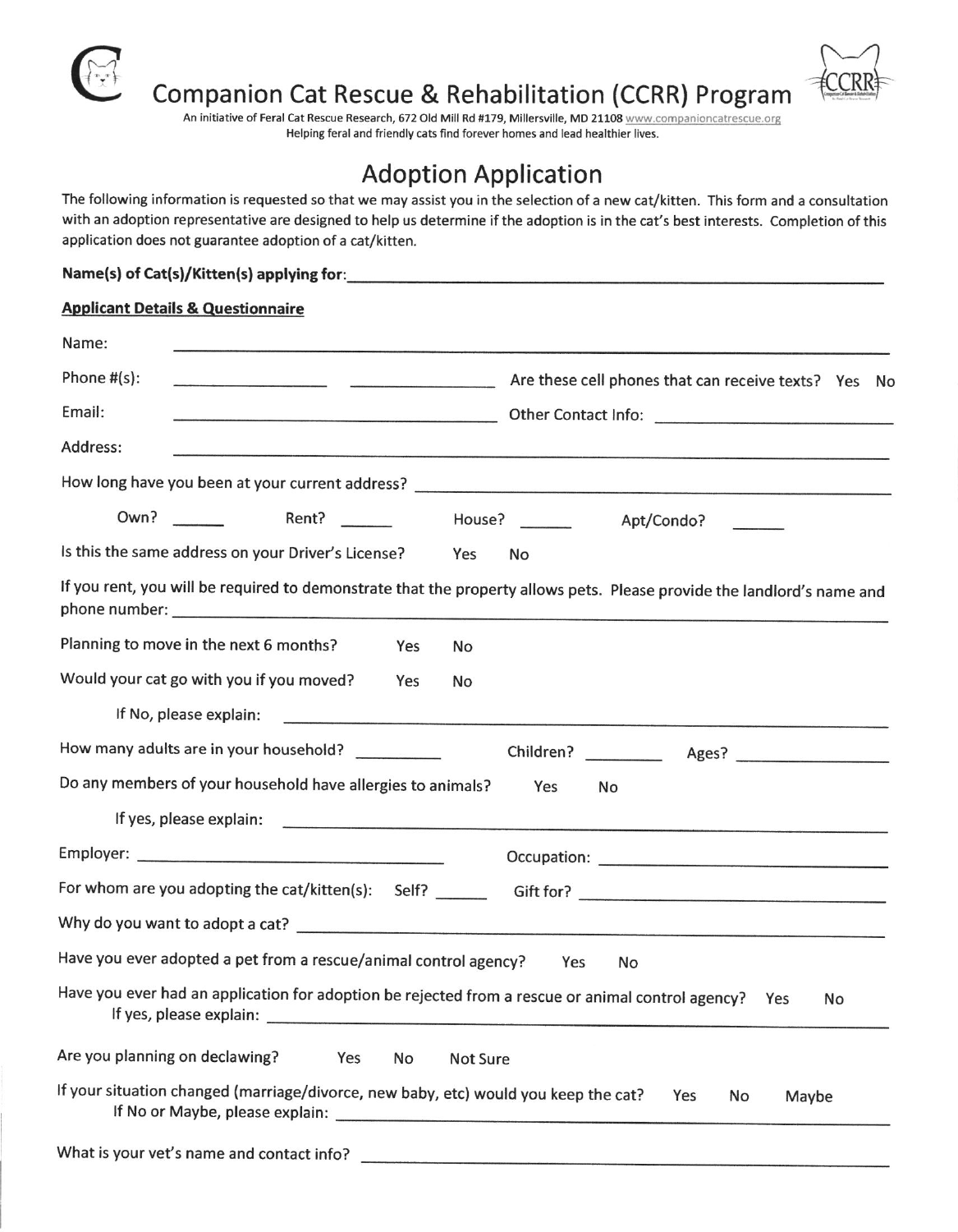

Companion Cat Rescue & Rehabilitation (CCRR) Program

An initiative of Feral Cat Rescue Research, 672 Old Mill Rd #179, Millersville, MD 21108 www.companioncatrescue.org Helping feral and friendly cats find forever homes and lead healthier lives.

## Adoption Application

The following information is requested so that we may assist you in the selection of a new cat/kitten. This form and a consultation with an adoption representative are designed to help us determine if the adoption is in the cat's best interests. Completion of this application does not guarantee adoption of a cat/kitten.

## Name(s) of Cat(s)/Kitten(s) applying for:

## Applicant Details & Questionnaire

| Name:                                                                                                                                   |                                                      |  |  |  |  |
|-----------------------------------------------------------------------------------------------------------------------------------------|------------------------------------------------------|--|--|--|--|
| Phone $#(s)$ :<br><u> La Carlo de la Carlo de la Carlo de la Carlo de la Carlo de la Carlo de la Carlo de la Carlo de la Carlo de l</u> | Are these cell phones that can receive texts? Yes No |  |  |  |  |
| Email:                                                                                                                                  |                                                      |  |  |  |  |
| Address:                                                                                                                                |                                                      |  |  |  |  |
|                                                                                                                                         |                                                      |  |  |  |  |
|                                                                                                                                         | Apt/Condo?                                           |  |  |  |  |
| Is this the same address on your Driver's License?<br>Yes                                                                               | <b>No</b>                                            |  |  |  |  |
| If you rent, you will be required to demonstrate that the property allows pets. Please provide the landlord's name and                  |                                                      |  |  |  |  |
| Planning to move in the next 6 months?<br>Yes<br>No.                                                                                    |                                                      |  |  |  |  |
| Would your cat go with you if you moved?<br>Yes<br>No                                                                                   |                                                      |  |  |  |  |
| If No, please explain:                                                                                                                  |                                                      |  |  |  |  |
| How many adults are in your household?                                                                                                  |                                                      |  |  |  |  |
| Do any members of your household have allergies to animals?                                                                             | Yes<br>No                                            |  |  |  |  |
|                                                                                                                                         |                                                      |  |  |  |  |
|                                                                                                                                         |                                                      |  |  |  |  |
|                                                                                                                                         |                                                      |  |  |  |  |
|                                                                                                                                         |                                                      |  |  |  |  |
| Have you ever adopted a pet from a rescue/animal control agency? Yes                                                                    | No                                                   |  |  |  |  |
| Have you ever had an application for adoption be rejected from a rescue or animal control agency? Yes<br>If yes, please explain:        | No                                                   |  |  |  |  |
| Are you planning on declawing?<br>Yes<br>No<br>Not Sure                                                                                 |                                                      |  |  |  |  |
| If your situation changed (marriage/divorce, new baby, etc) would you keep the cat?                                                     | Yes<br>No<br>Maybe                                   |  |  |  |  |
|                                                                                                                                         |                                                      |  |  |  |  |